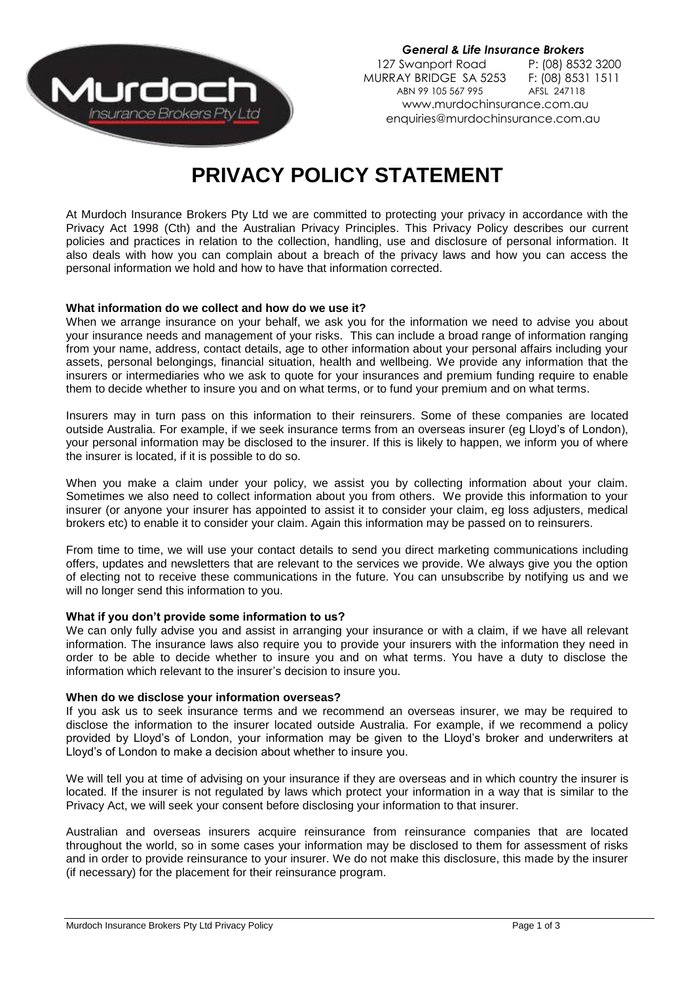

*General & Life Insurance Brokers* 127 Swanport Road P: (08) 8532 3200<br>URRAY BRIDGE SA 5253 F: (08) 8531 1511 MURRAY BRIDGE SA 5253 F: (08) 853<br>ABN 99 105 567 995 AFSL 247118 ABN 99 105 567 995 www.murdochinsurance.com.au enquiries@murdochinsurance.com.au

# **PRIVACY POLICY STATEMENT**

At Murdoch Insurance Brokers Pty Ltd we are committed to protecting your privacy in accordance with the Privacy Act 1998 (Cth) and the Australian Privacy Principles. This Privacy Policy describes our current policies and practices in relation to the collection, handling, use and disclosure of personal information. It also deals with how you can complain about a breach of the privacy laws and how you can access the personal information we hold and how to have that information corrected.

## **What information do we collect and how do we use it?**

When we arrange insurance on your behalf, we ask you for the information we need to advise you about your insurance needs and management of your risks. This can include a broad range of information ranging from your name, address, contact details, age to other information about your personal affairs including your assets, personal belongings, financial situation, health and wellbeing. We provide any information that the insurers or intermediaries who we ask to quote for your insurances and premium funding require to enable them to decide whether to insure you and on what terms, or to fund your premium and on what terms.

Insurers may in turn pass on this information to their reinsurers. Some of these companies are located outside Australia. For example, if we seek insurance terms from an overseas insurer (eg Lloyd's of London), your personal information may be disclosed to the insurer. If this is likely to happen, we inform you of where the insurer is located, if it is possible to do so.

When you make a claim under your policy, we assist you by collecting information about your claim. Sometimes we also need to collect information about you from others. We provide this information to your insurer (or anyone your insurer has appointed to assist it to consider your claim, eg loss adjusters, medical brokers etc) to enable it to consider your claim. Again this information may be passed on to reinsurers.

From time to time, we will use your contact details to send you direct marketing communications including offers, updates and newsletters that are relevant to the services we provide. We always give you the option of electing not to receive these communications in the future. You can unsubscribe by notifying us and we will no longer send this information to you.

#### **What if you don't provide some information to us?**

We can only fully advise you and assist in arranging your insurance or with a claim, if we have all relevant information. The insurance laws also require you to provide your insurers with the information they need in order to be able to decide whether to insure you and on what terms. You have a duty to disclose the information which relevant to the insurer's decision to insure you.

#### **When do we disclose your information overseas?**

If you ask us to seek insurance terms and we recommend an overseas insurer, we may be required to disclose the information to the insurer located outside Australia. For example, if we recommend a policy provided by Lloyd's of London, your information may be given to the Lloyd's broker and underwriters at Lloyd's of London to make a decision about whether to insure you.

We will tell you at time of advising on your insurance if they are overseas and in which country the insurer is located. If the insurer is not regulated by laws which protect your information in a way that is similar to the Privacy Act, we will seek your consent before disclosing your information to that insurer.

Australian and overseas insurers acquire reinsurance from reinsurance companies that are located throughout the world, so in some cases your information may be disclosed to them for assessment of risks and in order to provide reinsurance to your insurer. We do not make this disclosure, this made by the insurer (if necessary) for the placement for their reinsurance program.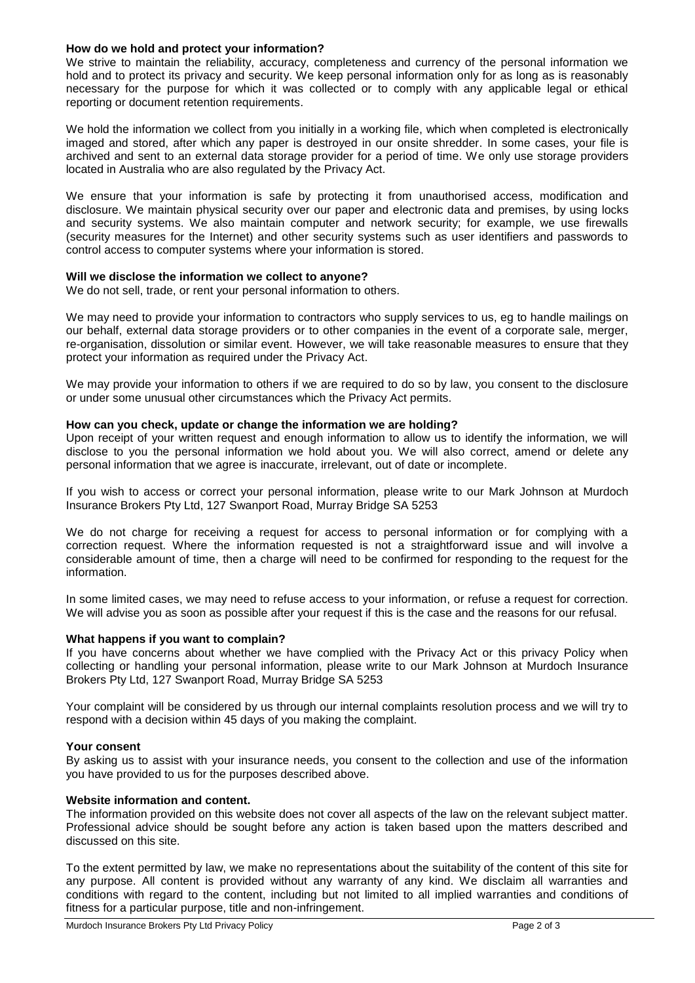## **How do we hold and protect your information?**

We strive to maintain the reliability, accuracy, completeness and currency of the personal information we hold and to protect its privacy and security. We keep personal information only for as long as is reasonably necessary for the purpose for which it was collected or to comply with any applicable legal or ethical reporting or document retention requirements.

We hold the information we collect from you initially in a working file, which when completed is electronically imaged and stored, after which any paper is destroyed in our onsite shredder. In some cases, your file is archived and sent to an external data storage provider for a period of time. We only use storage providers located in Australia who are also regulated by the Privacy Act.

We ensure that your information is safe by protecting it from unauthorised access, modification and disclosure. We maintain physical security over our paper and electronic data and premises, by using locks and security systems. We also maintain computer and network security; for example, we use firewalls (security measures for the Internet) and other security systems such as user identifiers and passwords to control access to computer systems where your information is stored.

## **Will we disclose the information we collect to anyone?**

We do not sell, trade, or rent your personal information to others.

We may need to provide your information to contractors who supply services to us, eg to handle mailings on our behalf, external data storage providers or to other companies in the event of a corporate sale, merger, re-organisation, dissolution or similar event. However, we will take reasonable measures to ensure that they protect your information as required under the Privacy Act.

We may provide your information to others if we are required to do so by law, you consent to the disclosure or under some unusual other circumstances which the Privacy Act permits.

## **How can you check, update or change the information we are holding?**

Upon receipt of your written request and enough information to allow us to identify the information, we will disclose to you the personal information we hold about you. We will also correct, amend or delete any personal information that we agree is inaccurate, irrelevant, out of date or incomplete.

If you wish to access or correct your personal information, please write to our Mark Johnson at Murdoch Insurance Brokers Pty Ltd, 127 Swanport Road, Murray Bridge SA 5253

We do not charge for receiving a request for access to personal information or for complying with a correction request. Where the information requested is not a straightforward issue and will involve a considerable amount of time, then a charge will need to be confirmed for responding to the request for the information.

In some limited cases, we may need to refuse access to your information, or refuse a request for correction. We will advise you as soon as possible after your request if this is the case and the reasons for our refusal.

#### **What happens if you want to complain?**

If you have concerns about whether we have complied with the Privacy Act or this privacy Policy when collecting or handling your personal information, please write to our Mark Johnson at Murdoch Insurance Brokers Pty Ltd, 127 Swanport Road, Murray Bridge SA 5253

Your complaint will be considered by us through our internal complaints resolution process and we will try to respond with a decision within 45 days of you making the complaint.

#### **Your consent**

By asking us to assist with your insurance needs, you consent to the collection and use of the information you have provided to us for the purposes described above.

## **Website information and content.**

The information provided on this website does not cover all aspects of the law on the relevant subject matter. Professional advice should be sought before any action is taken based upon the matters described and discussed on this site.

To the extent permitted by law, we make no representations about the suitability of the content of this site for any purpose. All content is provided without any warranty of any kind. We disclaim all warranties and conditions with regard to the content, including but not limited to all implied warranties and conditions of fitness for a particular purpose, title and non-infringement.